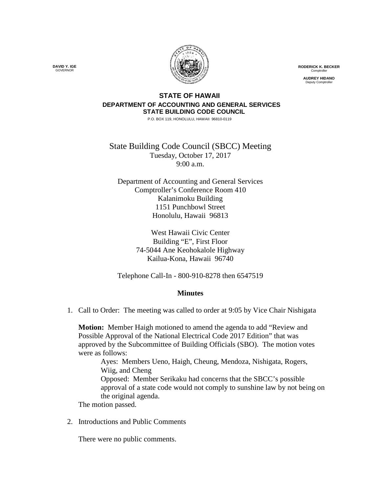

**RODERICK K. BECKER** Comptroller

**AUDREY HIDANO** Deputy Comptroller

## **STATE OF HAWAII DEPARTMENT OF ACCOUNTING AND GENERAL SERVICES STATE BUILDING CODE COUNCIL**

P.O. BOX 119, HONOLULU, HAWAII 96810-0119

State Building Code Council (SBCC) Meeting Tuesday, October 17, 2017 9:00 a.m.

Department of Accounting and General Services Comptroller's Conference Room 410 Kalanimoku Building 1151 Punchbowl Street Honolulu, Hawaii 96813

> West Hawaii Civic Center Building "E", First Floor 74-5044 Ane Keohokalole Highway Kailua-Kona, Hawaii 96740

Telephone Call-In - 800-910-8278 then 6547519

## **Minutes**

1. Call to Order: The meeting was called to order at 9:05 by Vice Chair Nishigata

**Motion:** Member Haigh motioned to amend the agenda to add "Review and Possible Approval of the National Electrical Code 2017 Edition" that was approved by the Subcommittee of Building Officials (SBO). The motion votes were as follows:

Ayes: Members Ueno, Haigh, Cheung, Mendoza, Nishigata, Rogers, Wiig, and Cheng

Opposed: Member Serikaku had concerns that the SBCC's possible approval of a state code would not comply to sunshine law by not being on the original agenda.

The motion passed.

2. Introductions and Public Comments

There were no public comments.

**DAVID Y. IGE** GOVERNOR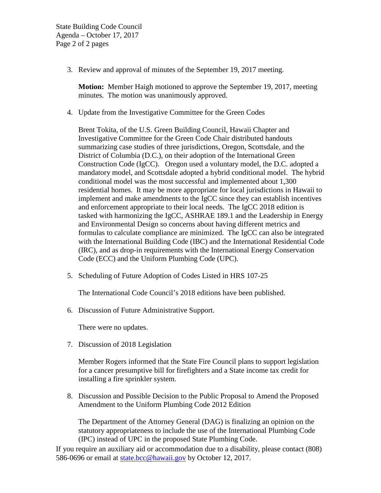3. Review and approval of minutes of the September 19, 2017 meeting.

**Motion:** Member Haigh motioned to approve the September 19, 2017, meeting minutes. The motion was unanimously approved.

4. Update from the Investigative Committee for the Green Codes

Brent Tokita, of the U.S. Green Building Council, Hawaii Chapter and Investigative Committee for the Green Code Chair distributed handouts summarizing case studies of three jurisdictions, Oregon, Scottsdale, and the District of Columbia (D.C.), on their adoption of the International Green Construction Code (IgCC). Oregon used a voluntary model, the D.C. adopted a mandatory model, and Scottsdale adopted a hybrid conditional model. The hybrid conditional model was the most successful and implemented about 1,300 residential homes. It may be more appropriate for local jurisdictions in Hawaii to implement and make amendments to the IgCC since they can establish incentives and enforcement appropriate to their local needs. The IgCC 2018 edition is tasked with harmonizing the IgCC, ASHRAE 189.1 and the Leadership in Energy and Environmental Design so concerns about having different metrics and formulas to calculate compliance are minimized. The IgCC can also be integrated with the International Building Code (IBC) and the International Residential Code (IRC), and as drop-in requirements with the International Energy Conservation Code (ECC) and the Uniform Plumbing Code (UPC).

5. Scheduling of Future Adoption of Codes Listed in HRS 107-25

The International Code Council's 2018 editions have been published.

6. Discussion of Future Administrative Support.

There were no updates.

7. Discussion of 2018 Legislation

Member Rogers informed that the State Fire Council plans to support legislation for a cancer presumptive bill for firefighters and a State income tax credit for installing a fire sprinkler system.

8. Discussion and Possible Decision to the Public Proposal to Amend the Proposed Amendment to the Uniform Plumbing Code 2012 Edition

The Department of the Attorney General (DAG) is finalizing an opinion on the statutory appropriateness to include the use of the International Plumbing Code (IPC) instead of UPC in the proposed State Plumbing Code.

If you require an auxiliary aid or accommodation due to a disability, please contact (808) 586-0696 or email at [state.bcc@hawaii.gov](mailto:state.bcc@hawaii.gov) by October 12, 2017.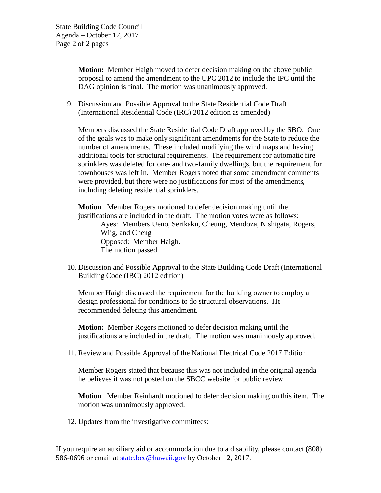**Motion:** Member Haigh moved to defer decision making on the above public proposal to amend the amendment to the UPC 2012 to include the IPC until the DAG opinion is final. The motion was unanimously approved.

9. Discussion and Possible Approval to the State Residential Code Draft (International Residential Code (IRC) 2012 edition as amended)

Members discussed the State Residential Code Draft approved by the SBO. One of the goals was to make only significant amendments for the State to reduce the number of amendments. These included modifying the wind maps and having additional tools for structural requirements. The requirement for automatic fire sprinklers was deleted for one- and two-family dwellings, but the requirement for townhouses was left in. Member Rogers noted that some amendment comments were provided, but there were no justifications for most of the amendments, including deleting residential sprinklers.

**Motion** Member Rogers motioned to defer decision making until the justifications are included in the draft. The motion votes were as follows: Ayes: Members Ueno, Serikaku, Cheung, Mendoza, Nishigata, Rogers, Wiig, and Cheng Opposed: Member Haigh. The motion passed.

10. Discussion and Possible Approval to the State Building Code Draft (International Building Code (IBC) 2012 edition)

Member Haigh discussed the requirement for the building owner to employ a design professional for conditions to do structural observations. He recommended deleting this amendment.

**Motion:** Member Rogers motioned to defer decision making until the justifications are included in the draft. The motion was unanimously approved.

11. Review and Possible Approval of the National Electrical Code 2017 Edition

Member Rogers stated that because this was not included in the original agenda he believes it was not posted on the SBCC website for public review.

**Motion** Member Reinhardt motioned to defer decision making on this item. The motion was unanimously approved.

12. Updates from the investigative committees:

If you require an auxiliary aid or accommodation due to a disability, please contact (808) 586-0696 or email at [state.bcc@hawaii.gov](mailto:state.bcc@hawaii.gov) by October 12, 2017.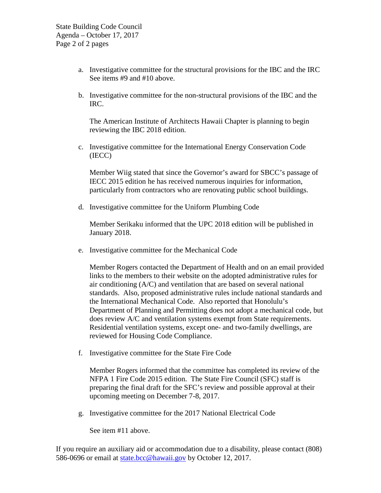- a. Investigative committee for the structural provisions for the IBC and the IRC See items #9 and #10 above.
- b. Investigative committee for the non-structural provisions of the IBC and the IRC.

The American Institute of Architects Hawaii Chapter is planning to begin reviewing the IBC 2018 edition.

c. Investigative committee for the International Energy Conservation Code (IECC)

Member Wiig stated that since the Governor's award for SBCC's passage of IECC 2015 edition he has received numerous inquiries for information, particularly from contractors who are renovating public school buildings.

d. Investigative committee for the Uniform Plumbing Code

Member Serikaku informed that the UPC 2018 edition will be published in January 2018.

e. Investigative committee for the Mechanical Code

Member Rogers contacted the Department of Health and on an email provided links to the members to their website on the adopted administrative rules for air conditioning (A/C) and ventilation that are based on several national standards. Also, proposed administrative rules include national standards and the International Mechanical Code. Also reported that Honolulu's Department of Planning and Permitting does not adopt a mechanical code, but does review A/C and ventilation systems exempt from State requirements. Residential ventilation systems, except one- and two-family dwellings, are reviewed for Housing Code Compliance.

f. Investigative committee for the State Fire Code

Member Rogers informed that the committee has completed its review of the NFPA 1 Fire Code 2015 edition. The State Fire Council (SFC) staff is preparing the final draft for the SFC's review and possible approval at their upcoming meeting on December 7-8, 2017.

g. Investigative committee for the 2017 National Electrical Code

See item #11 above.

If you require an auxiliary aid or accommodation due to a disability, please contact (808) 586-0696 or email at [state.bcc@hawaii.gov](mailto:state.bcc@hawaii.gov) by October 12, 2017.